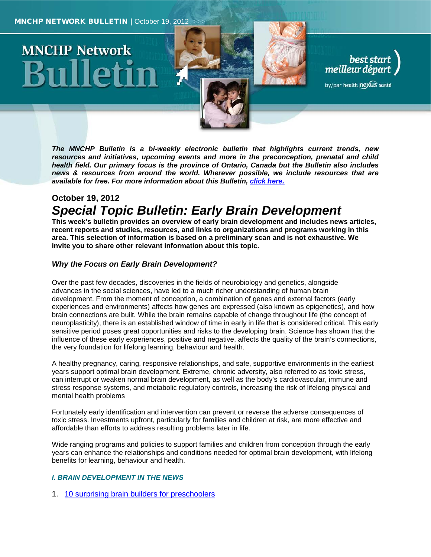# **MNCHP Network**

best start<br>meilleur départ

by/par health nexus santé

*The MNCHP Bulletin is a bi-weekly electronic bulletin that highlights current trends, new resources and initiatives, upcoming events and more in the preconception, prenatal and child health field. Our primary focus is the province of Ontario, Canada but the Bulletin also includes news & resources from around the world. Wherever possible, we include resources that are available for free. For more information about this Bulletin, click here.*

# **October 19, 2012** *Special Topic Bulletin: Early Brain Development*

**This week's bulletin provides an overview of early brain development and includes news articles, recent reports and studies, resources, and links to organizations and programs working in this area. This selection of information is based on a preliminary scan and is not exhaustive. We invite you to share other relevant information about this topic.**

#### *Why the Focus on Early Brain Development?*

Over the past few decades, discoveries in the fields of neurobiology and genetics, alongside advances in the social sciences, have led to a much richer understanding of human brain development. From the moment of conception, a combination of genes and external factors (early experiences and environments) affects how genes are expressed (also known as epigenetics), and how brain connections are built. While the brain remains capable of change throughout life (the concept of neuroplasticity), there is an established window of time in early in life that is considered critical. This early sensitive period poses great opportunities and risks to the developing brain. Science has shown that the influence of these early experiences, positive and negative, affects the quality of the brain's connections, the very foundation for lifelong learning, behaviour and health.

A healthy pregnancy, caring, responsive relationships, and safe, supportive environments in the earliest years support optimal brain development. Extreme, chronic adversity, also referred to as toxic stress, can interrupt or weaken normal brain development, as well as the body's cardiovascular, immune and stress response systems, and metabolic regulatory controls, increasing the risk of lifelong physical and mental health problems

Fortunately early identification and intervention can prevent or reverse the adverse consequences of toxic stress. Investments upfront, particularly for families and children at risk, are more effective and affordable than efforts to address resulting problems later in life.

Wide ranging programs and policies to support families and children from conception through the early years can enhance the relationships and conditions needed for optimal brain development, with lifelong benefits for learning, behaviour and health.

#### *I. BRAIN DEVELOPMENT IN THE NEWS*

1. [10 surprising brain builders for preschoolers](#page-2-0)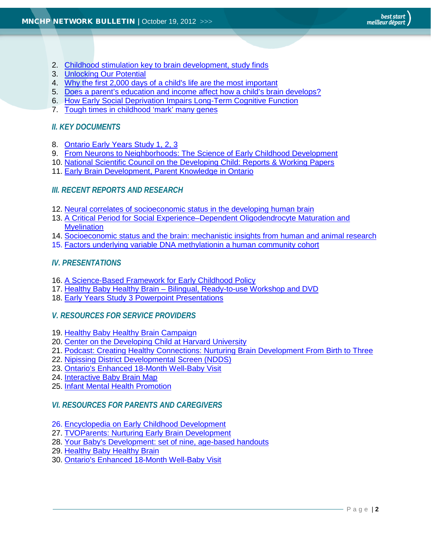- 2. [Childhood stimulation key to brain development, study finds](#page-2-1)
- 3. [Unlocking Our Potential](#page-2-2)
- 4. [Why the first 2,000 days of a child's life are the most important](#page-2-3)
- 5. [Does a parent's education and income affect how a child's brain develops?](#page-2-4)
- 6. [How Early Social Deprivation Impairs Long-Term Cognitive Function](#page-3-0)
- 7. [Tough times in childhood 'mark' many genes](#page-3-1)

## *II. KEY DOCUMENTS*

- 8. [Ontario Early Years Study 1, 2, 3](#page-3-2)
- 9. [From Neurons to Neighborhoods: The Science of Early Childhood Development](#page-4-0)
- 10. [National Scientific Council on the Developing Child: Reports & Working Papers](#page-4-1)
- 11. [Early Brain Development, Parent Knowledge in Ontario](#page-4-2)

## *III. RECENT REPORTS AND RESEARCH*

- 12. [Neural correlates of socioeconomic status in the developing human brain](#page-5-0)
- 13. [A Critical Period for Social Experience–Dependent Oligodendrocyte Maturation and](#page-5-1)  **[Myelination](#page-5-1)**
- 14. [Socioeconomic status and the brain: mechanistic insights from human and animal research](#page-6-0)
- 15. [Factors underlying variable DNA methylationin a human community cohort](#page-6-1)

## *IV. PRESENTATIONS*

- 16. [A Science-Based Framework for Early Childhood Policy](#page-6-2)
- 17. Healthy Baby Healthy Brain [Bilingual, Ready-to-use Workshop and DVD](#page-7-0)
- 18. [Early Years Study 3 Powerpoint Presentations](#page-7-1)

## *V. RESOURCES FOR SERVICE PROVIDERS*

- 19. [Healthy Baby Healthy Brain Campaign](#page-7-2)
- 20. [Center on the Developing Child at Harvard University](#page-7-3)
- 21. [Podcast: Creating Healthy Connections: Nurturing Brain Development From Birth to Three](#page-7-4)
- 22. [Nipissing District Developmental Screen \(NDDS\)](#page-8-0)
- 23. [Ontario's Enhanced 18-Month Well-Baby Visit](#page-8-1)
- 24. [Interactive Baby Brain Map](#page-8-2)
- 25. [Infant Mental Health Promotion](#page-8-3)

## *VI. RESOURCES FOR PARENTS AND CAREGIVERS*

- 26. [Encyclopedia on Early Childhood Development](#page-9-0)
- 27. [TVOParents: Nurturing Early Brain Development](#page-9-1)
- 28. [Your Baby's Development: set of nine, age-based handouts](#page-9-2)
- 29. [Healthy Baby Healthy Brain](#page-9-3)
- 30. [Ontario's Enhanced 18-Month Well-Baby Visit](#page-10-0)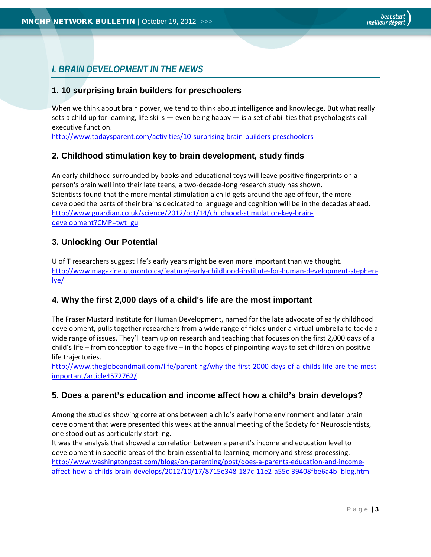# *I. BRAIN DEVELOPMENT IN THE NEWS*

## <span id="page-2-0"></span>**1. 10 surprising brain builders for preschoolers**

When we think about brain power, we tend to think about intelligence and knowledge. But what really sets a child up for learning, life skills — even being happy — is a set of abilities that psychologists call executive function.

<span id="page-2-1"></span><http://www.todaysparent.com/activities/10-surprising-brain-builders-preschoolers>

## **2. Childhood stimulation key to brain development, study finds**

An early childhood surrounded by books and educational toys will leave positive fingerprints on a person's brain well into their late teens, a two-decade-long research study has shown. Scientists found that the more mental stimulation a child gets around the age of four, the more developed the parts of their brains dedicated to language and cognition will be in the decades ahead. [http://www.guardian.co.uk/science/2012/oct/14/childhood-stimulation-key-brain](http://www.guardian.co.uk/science/2012/oct/14/childhood-stimulation-key-brain-development?CMP=twt_gu)[development?CMP=twt\\_gu](http://www.guardian.co.uk/science/2012/oct/14/childhood-stimulation-key-brain-development?CMP=twt_gu)

## <span id="page-2-2"></span>**3. Unlocking Our Potential**

U of T researchers suggest life's early years might be even more important than we thought. [http://www.magazine.utoronto.ca/feature/early-childhood-institute-for-human-development-stephen](http://www.magazine.utoronto.ca/feature/early-childhood-institute-for-human-development-stephen-lye/)[lye/](http://www.magazine.utoronto.ca/feature/early-childhood-institute-for-human-development-stephen-lye/)

## <span id="page-2-3"></span>**4. Why the first 2,000 days of a child's life are the most important**

The Fraser Mustard Institute for Human Development, named for the late advocate of early childhood development, pulls together researchers from a wide range of fields under a virtual umbrella to tackle a wide range of issues. They'll team up on research and teaching that focuses on the first 2,000 days of a child's life – from conception to age five – in the hopes of pinpointing ways to set children on positive life trajectories.

[http://www.theglobeandmail.com/life/parenting/why-the-first-2000-days-of-a-childs-life-are-the-most](http://www.theglobeandmail.com/life/parenting/why-the-first-2000-days-of-a-childs-life-are-the-most-important/article4572762/)[important/article4572762/](http://www.theglobeandmail.com/life/parenting/why-the-first-2000-days-of-a-childs-life-are-the-most-important/article4572762/)

## <span id="page-2-4"></span>**5. Does a parent's education and income affect how a child's brain develops?**

Among the studies showing correlations between a child's early home environment and later brain development that were presented this week at the annual meeting of the Society for Neuroscientists, one stood out as particularly startling.

It was the analysis that showed a correlation between a parent's income and education level to development in specific areas of the brain essential to learning, memory and stress processing. [http://www.washingtonpost.com/blogs/on-parenting/post/does-a-parents-education-and-income](http://www.washingtonpost.com/blogs/on-parenting/post/does-a-parents-education-and-income-affect-how-a-childs-brain-develops/2012/10/17/8715e348-187c-11e2-a55c-39408fbe6a4b_blog.html)[affect-how-a-childs-brain-develops/2012/10/17/8715e348-187c-11e2-a55c-39408fbe6a4b\\_blog.html](http://www.washingtonpost.com/blogs/on-parenting/post/does-a-parents-education-and-income-affect-how-a-childs-brain-develops/2012/10/17/8715e348-187c-11e2-a55c-39408fbe6a4b_blog.html)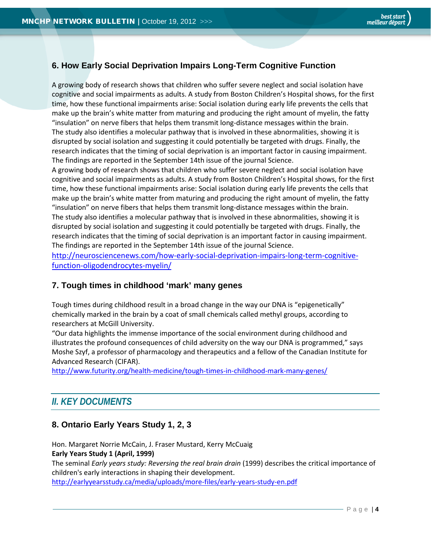## <span id="page-3-0"></span>**6. How Early Social Deprivation Impairs Long-Term Cognitive Function**

A growing body of research shows that children who suffer severe neglect and social isolation have cognitive and social impairments as adults. A study from Boston Children's Hospital shows, for the first time, how these functional impairments arise: Social isolation during early life prevents the cells that make up the brain's white matter from maturing and producing the right amount of myelin, the fatty "insulation" on nerve fibers that helps them transmit long-distance messages within the brain. The study also identifies a molecular pathway that is involved in these abnormalities, showing it is disrupted by social isolation and suggesting it could potentially be targeted with drugs. Finally, the research indicates that the timing of social deprivation is an important factor in causing impairment. The findings are reported in the September 14th issue of the journal Science.

A growing body of research shows that children who suffer severe neglect and social isolation have cognitive and social impairments as adults. A study from Boston Children's Hospital shows, for the first time, how these functional impairments arise: Social isolation during early life prevents the cells that make up the brain's white matter from maturing and producing the right amount of myelin, the fatty "insulation" on nerve fibers that helps them transmit long-distance messages within the brain. The study also identifies a molecular pathway that is involved in these abnormalities, showing it is disrupted by social isolation and suggesting it could potentially be targeted with drugs. Finally, the research indicates that the timing of social deprivation is an important factor in causing impairment. The findings are reported in the September 14th issue of the journal Science.

[http://neurosciencenews.com/how-early-social-deprivation-impairs-long-term-cognitive](http://neurosciencenews.com/how-early-social-deprivation-impairs-long-term-cognitive-function-oligodendrocytes-myelin/)[function-oligodendrocytes-myelin/](http://neurosciencenews.com/how-early-social-deprivation-impairs-long-term-cognitive-function-oligodendrocytes-myelin/)

## <span id="page-3-1"></span>**7. Tough times in childhood 'mark' many genes**

Tough times during childhood result in a broad change in the way our DNA is "epigenetically" chemically marked in the brain by a coat of small chemicals called methyl groups, according to researchers at McGill University.

"Our data highlights the immense importance of the social environment during childhood and illustrates the profound consequences of child adversity on the way our DNA is programmed," says Moshe Szyf, a professor of pharmacology and therapeutics and a fellow of the Canadian Institute for Advanced Research (CIFAR).

<http://www.futurity.org/health-medicine/tough-times-in-childhood-mark-many-genes/>

## *II. KEY DOCUMENTS*

## <span id="page-3-2"></span>**8. Ontario Early Years Study 1, 2, 3**

Hon. Margaret Norrie McCain, J. Fraser Mustard, Kerry McCuaig **Early Years Study 1 (April, 1999)** The seminal *Early years study: Reversing the real brain drain* (1999) describes the critical importance of

children's early interactions in shaping their development. <http://earlyyearsstudy.ca/media/uploads/more-files/early-years-study-en.pdf>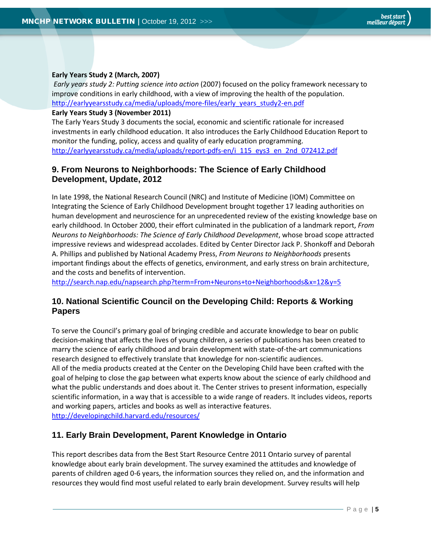#### **Early Years Study 2 (March, 2007)**

*Early years study 2: Putting science into action* (2007) focused on the policy framework necessary to improve conditions in early childhood, with a view of improving the health of the population. [http://earlyyearsstudy.ca/media/uploads/more-files/early\\_years\\_study2-en.pdf](http://earlyyearsstudy.ca/media/uploads/more-files/early_years_study2-en.pdf)

**Early Years Study 3 (November 2011)**

The Early Years Study 3 documents the social, economic and scientific rationale for increased investments in early childhood education. It also introduces the Early Childhood Education Report to monitor the funding, policy, access and quality of early education programming. [http://earlyyearsstudy.ca/media/uploads/report-pdfs-en/i\\_115\\_eys3\\_en\\_2nd\\_072412.pdf](http://earlyyearsstudy.ca/media/uploads/report-pdfs-en/i_115_eys3_en_2nd_072412.pdf)

## <span id="page-4-0"></span>**9. From Neurons to Neighborhoods: The Science of Early Childhood Development, Update, 2012**

In late 1998, the National Research Council (NRC) and Institute of Medicine (IOM) Committee on Integrating the Science of Early Childhood Development brought together 17 leading authorities on human development and neuroscience for an unprecedented review of the existing knowledge base on early childhood. In October 2000, their effort culminated in the publication of a landmark report, *From Neurons to Neighborhoods: The Science of Early Childhood Development*, whose broad scope attracted impressive reviews and widespread accolades. Edited by Center Director Jack P. Shonkoff and Deborah A. Phillips and published by National Academy Press, *From Neurons to Neighborhoods* presents important findings about the effects of genetics, environment, and early stress on brain architecture, and the costs and benefits of intervention.

<span id="page-4-1"></span><http://search.nap.edu/napsearch.php?term=From+Neurons+to+Neighborhoods&x=12&y=5>

## **10. National Scientific Council on the Developing Child: Reports & Working Papers**

To serve the Council's primary goal of bringing credible and accurate knowledge to bear on public decision-making that affects the lives of young children, a series of publications has been created to marry the science of early childhood and brain development with state-of-the-art communications research designed to effectively translate that knowledge for non-scientific audiences. All of the media products created at the Center on the Developing Child have been crafted with the goal of helping to close the gap between what experts know about the science of early childhood and what the public understands and does about it. The Center strives to present information, especially scientific information, in a way that is accessible to a wide range of readers. It includes videos, reports and working papers, articles and books as well as interactive features. <http://developingchild.harvard.edu/resources/>

## <span id="page-4-2"></span>**11. Early Brain Development, Parent Knowledge in Ontario**

This report describes data from the Best Start Resource Centre 2011 Ontario survey of parental knowledge about early brain development. The survey examined the attitudes and knowledge of parents of children aged 0-6 years, the information sources they relied on, and the information and resources they would find most useful related to early brain development. Survey results will help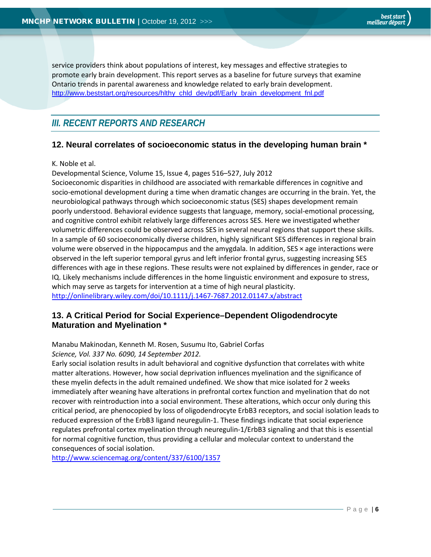service providers think about populations of interest, key messages and effective strategies to promote early brain development. This report serves as a baseline for future surveys that examine Ontario trends in parental awareness and knowledge related to early brain development. [http://www.beststart.org/resources/hlthy\\_chld\\_dev/pdf/Early\\_brain\\_development\\_fnl.pdf](http://www.beststart.org/resources/hlthy_chld_dev/pdf/Early_brain_development_fnl.pdf)

## *III. RECENT REPORTS AND RESEARCH*

## <span id="page-5-0"></span>**12. Neural correlates of socioeconomic status in the developing human brain \***

K. Noble et al.

Developmental Science, Volume 15, Issue 4, pages 516–527, July 2012

Socioeconomic disparities in childhood are associated with remarkable differences in cognitive and socio-emotional development during a time when dramatic changes are occurring in the brain. Yet, the neurobiological pathways through which socioeconomic status (SES) shapes development remain poorly understood. Behavioral evidence suggests that language, memory, social-emotional processing, and cognitive control exhibit relatively large differences across SES. Here we investigated whether volumetric differences could be observed across SES in several neural regions that support these skills. In a sample of 60 socioeconomically diverse children, highly significant SES differences in regional brain volume were observed in the hippocampus and the amygdala. In addition, SES × age interactions were observed in the left superior temporal gyrus and left inferior frontal gyrus, suggesting increasing SES differences with age in these regions. These results were not explained by differences in gender, race or IQ. Likely mechanisms include differences in the home linguistic environment and exposure to stress, which may serve as targets for intervention at a time of high neural plasticity. <http://onlinelibrary.wiley.com/doi/10.1111/j.1467-7687.2012.01147.x/abstract>

## <span id="page-5-1"></span>**13. A Critical Period for Social Experience–Dependent Oligodendrocyte Maturation and Myelination \***

Manabu Makinodan, Kenneth M. Rosen, Susumu Ito, Gabriel Corfas *Science, Vol. 337 No. 6090, 14 September 2012.*

Early social isolation results in adult behavioral and cognitive dysfunction that correlates with white matter alterations. However, how social deprivation influences myelination and the significance of these myelin defects in the adult remained undefined. We show that mice isolated for 2 weeks immediately after weaning have alterations in prefrontal cortex function and myelination that do not recover with reintroduction into a social environment. These alterations, which occur only during this critical period, are phenocopied by loss of oligodendrocyte ErbB3 receptors, and social isolation leads to reduced expression of the ErbB3 ligand neuregulin-1. These findings indicate that social experience regulates prefrontal cortex myelination through neuregulin-1/ErbB3 signaling and that this is essential for normal cognitive function, thus providing a cellular and molecular context to understand the consequences of social isolation.

<http://www.sciencemag.org/content/337/6100/1357>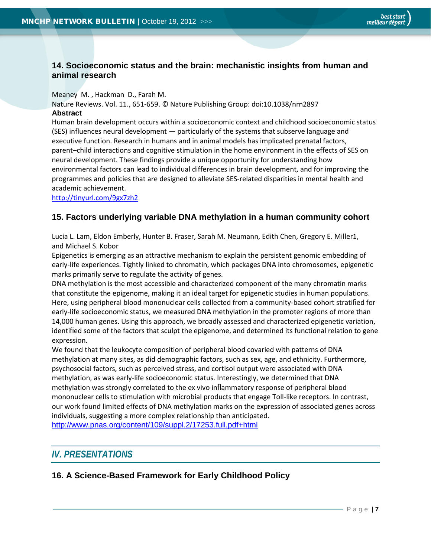## <span id="page-6-0"></span>**14. Socioeconomic status and the brain: mechanistic insights from human and animal research**

#### Meaney M. , Hackman D., Farah M.

Nature Reviews. Vol. 11., 651-659. © Nature Publishing Group: doi:10.1038/nrn2897 **Abstract**

Human brain development occurs within a socioeconomic context and childhood socioeconomic status (SES) influences neural development — particularly of the systems that subserve language and executive function. Research in humans and in animal models has implicated prenatal factors, parent–child interactions and cognitive stimulation in the home environment in the effects of SES on neural development. These findings provide a unique opportunity for understanding how environmental factors can lead to individual differences in brain development, and for improving the programmes and policies that are designed to alleviate SES-related disparities in mental health and academic achievement.

<span id="page-6-1"></span><http://tinyurl.com/9gx7zh2>

## **15. Factors underlying variable DNA methylation in a human community cohort**

Lucia L. Lam, Eldon Emberly, Hunter B. Fraser, Sarah M. Neumann, Edith Chen, Gregory E. Miller1, and Michael S. Kobor

Epigenetics is emerging as an attractive mechanism to explain the persistent genomic embedding of early-life experiences. Tightly linked to chromatin, which packages DNA into chromosomes, epigenetic marks primarily serve to regulate the activity of genes.

DNA methylation is the most accessible and characterized component of the many chromatin marks that constitute the epigenome, making it an ideal target for epigenetic studies in human populations. Here, using peripheral blood mononuclear cells collected from a community-based cohort stratified for early-life socioeconomic status, we measured DNA methylation in the promoter regions of more than 14,000 human genes. Using this approach, we broadly assessed and characterized epigenetic variation, identified some of the factors that sculpt the epigenome, and determined its functional relation to gene expression.

We found that the leukocyte composition of peripheral blood covaried with patterns of DNA methylation at many sites, as did demographic factors, such as sex, age, and ethnicity. Furthermore, psychosocial factors, such as perceived stress, and cortisol output were associated with DNA methylation, as was early-life socioeconomic status. Interestingly, we determined that DNA methylation was strongly correlated to the ex vivo inflammatory response of peripheral blood mononuclear cells to stimulation with microbial products that engage Toll-like receptors. In contrast, our work found limited effects of DNA methylation marks on the expression of associated genes across individuals, suggesting a more complex relationship than anticipated. <http://www.pnas.org/content/109/suppl.2/17253.full.pdf+html>

## *IV. PRESENTATIONS*

## <span id="page-6-2"></span>**16. A Science-Based Framework for Early Childhood Policy**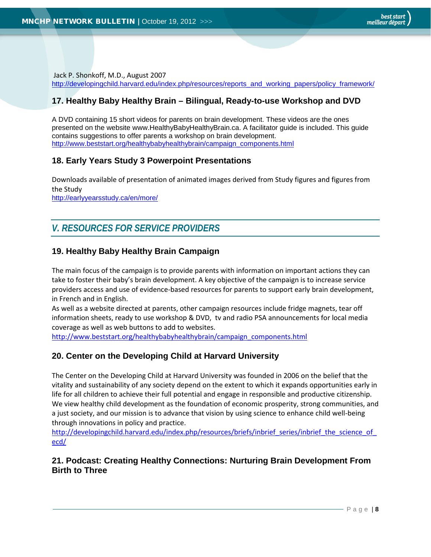Jack P. Shonkoff, M.D., August 2007 [http://developingchild.harvard.edu/index.php/resources/reports\\_and\\_working\\_papers/policy\\_framework/](http://developingchild.harvard.edu/index.php/resources/reports_and_working_papers/policy_framework/)

## <span id="page-7-0"></span>**17. Healthy Baby Healthy Brain – Bilingual, Ready-to-use Workshop and DVD**

A DVD containing 15 short videos for parents on brain development. These videos are the ones presented on the website www.HealthyBabyHealthyBrain.ca. A facilitator guide is included. This guide contains suggestions to offer parents a workshop on brain development. [http://www.beststart.org/healthybabyhealthybrain/campaign\\_components.html](http://www.beststart.org/healthybabyhealthybrain/campaign_components.html)

## <span id="page-7-1"></span>**18. Early Years Study 3 Powerpoint Presentations**

Downloads available of presentation of animated images derived from Study figures and figures from the Study <http://earlyyearsstudy.ca/en/more/>

# *V. RESOURCES FOR SERVICE PROVIDERS*

## <span id="page-7-2"></span>**19. Healthy Baby Healthy Brain Campaign**

The main focus of the campaign is to provide parents with information on important actions they can take to foster their baby's brain development. A key objective of the campaign is to increase service providers access and use of evidence-based resources for parents to support early brain development, in French and in English.

As well as a website directed at parents, other campaign resources include fridge magnets, tear off information sheets, ready to use workshop & DVD, tv and radio PSA announcements for local media coverage as well as web buttons to add to websites.

<span id="page-7-3"></span>[http://www.beststart.org/healthybabyhealthybrain/campaign\\_components.html](http://www.beststart.org/healthybabyhealthybrain/campaign_components.html)

## **20. Center on the Developing Child at Harvard University**

The Center on the Developing Child at Harvard University was founded in 2006 on the belief that the vitality and sustainability of any society depend on the extent to which it expands opportunities early in life for all children to achieve their full potential and engage in responsible and productive citizenship. We view healthy child development as the foundation of economic prosperity, strong communities, and a just society, and our mission is to advance that vision by using science to enhance child well-being through innovations in policy and practice.

http://developingchild.harvard.edu/index.php/resources/briefs/inbrief series/inbrief the science of [ecd/](http://developingchild.harvard.edu/index.php/resources/briefs/inbrief_series/inbrief_the_science_of_ecd/)

## <span id="page-7-4"></span>**21. Podcast: Creating Healthy Connections: Nurturing Brain Development From Birth to Three**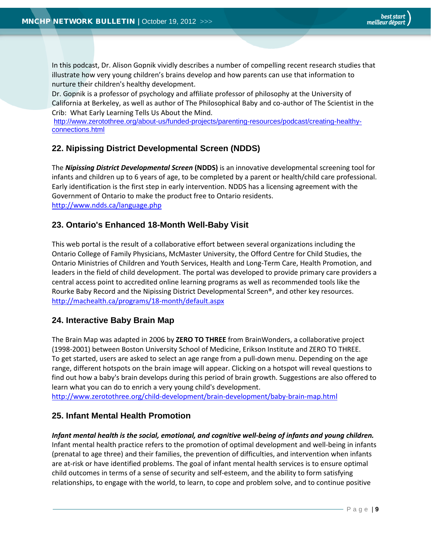In this podcast, Dr. Alison Gopnik vividly describes a number of compelling recent research studies that illustrate how very young children's brains develop and how parents can use that information to nurture their children's healthy development.

Dr. Gopnik is a professor of psychology and affiliate professor of philosophy at the University of California at Berkeley, as well as author of The Philosophical Baby and co-author of The Scientist in the Crib: What Early Learning Tells Us About the Mind.

[http://www.zerotothree.org/about-us/funded-projects/parenting-resources/podcast/creating-healthy](http://www.zerotothree.org/about-us/funded-projects/parenting-resources/podcast/creating-healthy-connections.html)[connections.html](http://www.zerotothree.org/about-us/funded-projects/parenting-resources/podcast/creating-healthy-connections.html)

## <span id="page-8-0"></span>**22. Nipissing District Developmental Screen (NDDS)**

The *Nipissing District Developmental Screen* **(NDDS)** is an innovative developmental screening tool for infants and children up to 6 years of age, to be completed by a parent or health/child care professional. Early identification is the first step in early intervention. NDDS has a licensing agreement with the Government of Ontario to make the product free to Ontario residents. <http://www.ndds.ca/language.php>

## <span id="page-8-1"></span>**23. Ontario's Enhanced 18-Month Well-Baby Visit**

This web portal is the result of a collaborative effort between several organizations including the Ontario College of Family Physicians, McMaster University, the Offord Centre for Child Studies, the Ontario Ministries of Children and Youth Services, Health and Long-Term Care, Health Promotion, and leaders in the field of child development. The portal was developed to provide primary care providers a central access point to accredited online learning programs as well as recommended tools like the Rourke Baby Record and the Nipissing District Developmental Screen®, and other key resources. <http://machealth.ca/programs/18-month/default.aspx>

## <span id="page-8-2"></span>**24. Interactive Baby Brain Map**

The Brain Map was adapted in 2006 by **ZERO TO THREE** from BrainWonders, a collaborative project (1998-2001) between Boston University School of Medicine, Erikson Institute and ZERO TO THREE. To get started, users are asked to select an age range from a pull-down menu. Depending on the age range, different hotspots on the brain image will appear. Clicking on a hotspot will reveal questions to find out how a baby's brain develops during this period of brain growth. Suggestions are also offered to learn what you can do to enrich a very young child's development.

<span id="page-8-3"></span><http://www.zerotothree.org/child-development/brain-development/baby-brain-map.html>

## **25. Infant Mental Health Promotion**

## *Infant mental health is the social, emotional, and cognitive well-being of infants and young children.*

Infant mental health practice refers to the promotion of optimal development and well-being in infants (prenatal to age three) and their families, the prevention of difficulties, and intervention when infants are at-risk or have identified problems. The goal of infant mental health services is to ensure optimal child outcomes in terms of a sense of security and self-esteem, and the ability to form satisfying relationships, to engage with the world, to learn, to cope and problem solve, and to continue positive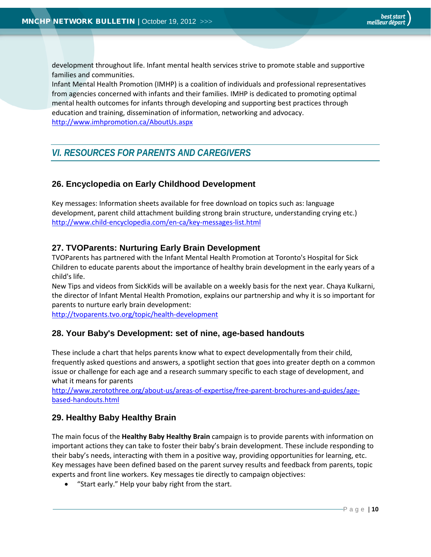development throughout life. Infant mental health services strive to promote stable and supportive families and communities.

Infant Mental Health Promotion (IMHP) is a coalition of individuals and professional representatives from agencies concerned with infants and their families. IMHP is dedicated to promoting optimal mental health outcomes for infants through developing and supporting best practices through education and training, dissemination of information, networking and advocacy. <http://www.imhpromotion.ca/AboutUs.aspx>

# *VI. RESOURCES FOR PARENTS AND CAREGIVERS*

## <span id="page-9-0"></span>**26. Encyclopedia on Early Childhood Development**

Key messages: Information sheets available for free download on topics such as: language development, parent child attachment building strong brain structure, understanding crying etc.) <http://www.child-encyclopedia.com/en-ca/key-messages-list.html>

## <span id="page-9-1"></span>**27. TVOParents: Nurturing Early Brain Development**

TVOParents has partnered with the Infant Mental Health Promotion at Toronto's Hospital for Sick Children to educate parents about the importance of healthy brain development in the early years of a child's life.

New Tips and videos from SickKids will be available on a weekly basis for the next year. Chaya Kulkarni, the director of Infant Mental Health Promotion, explains our partnership and why it is so important for parents to nurture early brain development:

<http://tvoparents.tvo.org/topic/health-development>

## <span id="page-9-2"></span>**28. Your Baby's Development: set of nine, age-based handouts**

These include a chart that helps parents know what to expect developmentally from their child, frequently asked questions and answers, a spotlight section that goes into greater depth on a common issue or challenge for each age and a research summary specific to each stage of development, and what it means for parents

[http://www.zerotothree.org/about-us/areas-of-expertise/free-parent-brochures-and-guides/age](http://www.zerotothree.org/about-us/areas-of-expertise/free-parent-brochures-and-guides/age-based-handouts.html)[based-handouts.html](http://www.zerotothree.org/about-us/areas-of-expertise/free-parent-brochures-and-guides/age-based-handouts.html)

## <span id="page-9-3"></span>**29. Healthy Baby Healthy Brain**

The main focus of the **Healthy Baby Healthy Brain** campaign is to provide parents with information on important actions they can take to foster their baby's brain development. These include responding to their baby's needs, interacting with them in a positive way, providing opportunities for learning, etc. Key messages have been defined based on the parent survey results and feedback from parents, topic experts and front line workers. Key messages tie directly to campaign objectives:

• "Start early." Help your baby right from the start.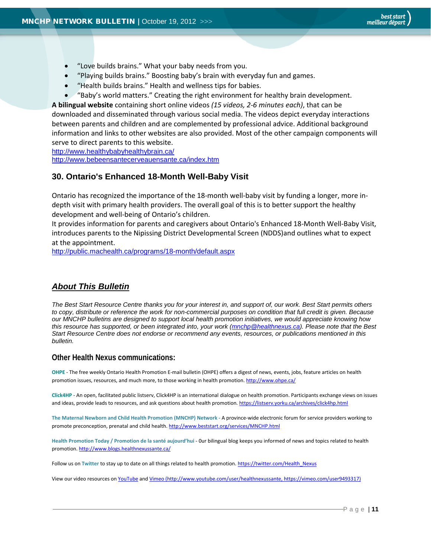- "Love builds brains." What your baby needs from you.
- "Playing builds brains." Boosting baby's brain with everyday fun and games.
- "Health builds brains." Health and wellness tips for babies.
- "Baby's world matters." Creating the right environment for healthy brain development.

**A bilingual website** containing short online videos *(15 videos, 2-6 minutes each)*, that can be downloaded and disseminated through various social media. The videos depict everyday interactions between parents and children and are complemented by professional advice. Additional background information and links to other websites are also provided. Most of the other campaign components will serve to direct parents to this website.

<http://www.healthybabyhealthybrain.ca/> <http://www.bebeensantecerveauensante.ca/index.htm>

## <span id="page-10-0"></span>**30. Ontario's Enhanced 18-Month Well-Baby Visit**

Ontario has recognized the importance of the 18-month well-baby visit by funding a longer, more indepth visit with primary health providers. The overall goal of this is to better support the healthy development and well-being of Ontario's children.

It provides information for parents and caregivers about Ontario's Enhanced 18-Month Well-Baby Visit, introduces parents to the Nipissing District Developmental Screen (NDDS)and outlines what to expect at the appointment.

<http://public.machealth.ca/programs/18-month/default.aspx>

## *About This Bulletin*

*The Best Start Resource Centre thanks you for your interest in, and support of, our work. Best Start permits others to copy, distribute or reference the work for non-commercial purposes on condition that full credit is given. Because our MNCHP bulletins are designed to support local health promotion initiatives, we would appreciate knowing how this resource has supported, or been integrated into, your work [\(mnchp@healthnexus.ca\)](mailto:mnchp@healthnexus.ca). Please note that the Best Start Resource Centre does not endorse or recommend any events, resources, or publications mentioned in this bulletin.* 

#### **Other Health Nexus communications:**

**OHPE** - The free weekly Ontario Health Promotion E-mail bulletin (OHPE) offers a digest of news, events, jobs, feature articles on health promotion issues, resources, and much more, to those working in health promotion.<http://www.ohpe.ca/>

**Click4HP** - An open, facilitated public listserv, Click4HP is an international dialogue on health promotion. Participants exchange views on issues and ideas, provide leads to resources, and ask questions about health promotion[. https://listserv.yorku.ca/archives/click4hp.html](https://listserv.yorku.ca/archives/click4hp.html)

**The Maternal Newborn and Child Health Promotion (MNCHP) Network -** A province-wide electronic forum for service providers working to promote preconception, prenatal and child health[. http://www.beststart.org/services/MNCHP.html](http://www.beststart.org/services/MNCHP.html)

**Health Promotion Today / Promotion de la santé aujourd'hui** - 0ur bilingual blog keeps you informed of news and topics related to health promotion[. http://www.blogs.healthnexussante.ca/](http://www.blogs.healthnexussante.ca/)

Follow us on Twitter to stay up to date on all things related to health promotion. [https://twitter.com/Health\\_Nexus](https://twitter.com/Health_Nexus)

View our video resources on [YouTube](http://www.youtube.com/user/healthnexussante) an[d Vimeo](https://vimeo.com/user9493317) [\(http://www.youtube.com/user/healthnexussante,](http://www.youtube.com/user/healthnexussante) [https://vimeo.com/user9493317\)](https://vimeo.com/user9493317)